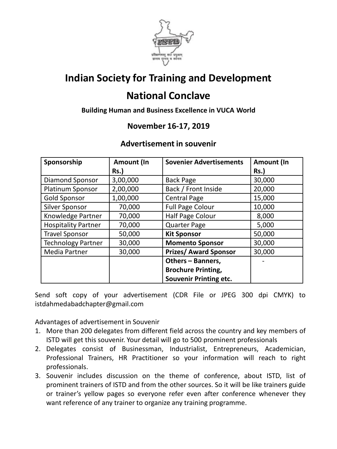

## **Indian Society for Training and Development**

## **National Conclave**

**Building Human and Business Excellence in VUCA World**

#### **November 16-17, 2019**

#### **Advertisement in souvenir**

| Sponsorship                | Amount (In  | <b>Sovenier Advertisements</b> | Amount (In  |
|----------------------------|-------------|--------------------------------|-------------|
|                            | <b>Rs.)</b> |                                | <b>Rs.)</b> |
| Diamond Sponsor            | 3,00,000    | <b>Back Page</b>               | 30,000      |
| Platinum Sponsor           | 2,00,000    | Back / Front Inside            | 20,000      |
| <b>Gold Sponsor</b>        | 1,00,000    | <b>Central Page</b>            | 15,000      |
| <b>Silver Sponsor</b>      | 70,000      | <b>Full Page Colour</b>        | 10,000      |
| Knowledge Partner          | 70,000      | Half Page Colour               | 8,000       |
| <b>Hospitality Partner</b> | 70,000      | <b>Quarter Page</b>            | 5,000       |
| <b>Travel Sponsor</b>      | 50,000      | <b>Kit Sponsor</b>             | 50,000      |
| <b>Technology Partner</b>  | 30,000      | <b>Momento Sponsor</b>         | 30,000      |
| Media Partner              | 30,000      | <b>Prizes/ Award Sponsor</b>   | 30,000      |
|                            |             | Others - Banners,              |             |
|                            |             | <b>Brochure Printing,</b>      |             |
|                            |             | <b>Souvenir Printing etc.</b>  |             |

Send soft copy of your advertisement (CDR File or JPEG 300 dpi CMYK) to istdahmedabadchapter@gmail.com

Advantages of advertisement in Souvenir

- 1. More than 200 delegates from different field across the country and key members of ISTD will get this souvenir. Your detail will go to 500 prominent professionals
- 2. Delegates consist of Businessman, Industrialist, Entrepreneurs, Academician, Professional Trainers, HR Practitioner so your information will reach to right professionals.
- 3. Souvenir includes discussion on the theme of conference, about ISTD, list of prominent trainers of ISTD and from the other sources. So it will be like trainers guide or trainer's yellow pages so everyone refer even after conference whenever they want reference of any trainer to organize any training programme.